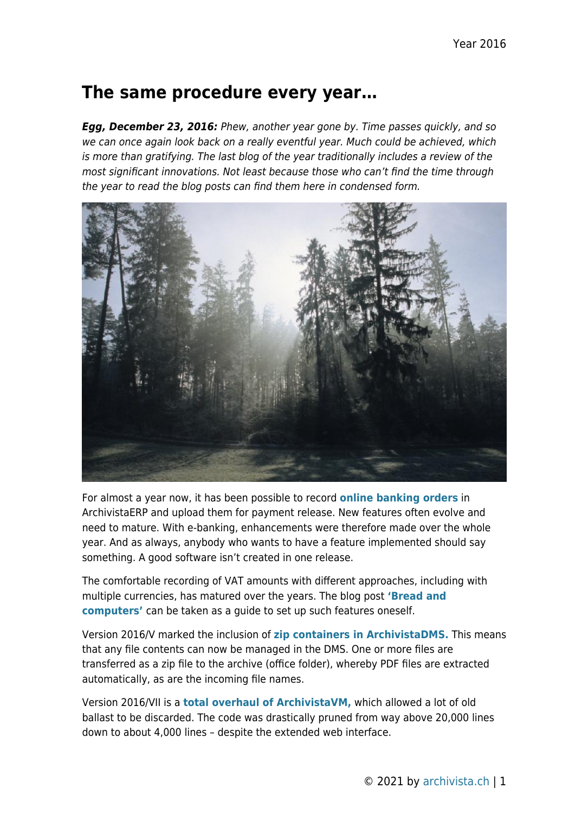## **The same procedure every year…**

*Egg, December 23, 2016:* Phew, another year gone by. Time passes quickly, and so we can once again look back on a really eventful year. Much could be achieved, which is more than gratifying. The last blog of the year traditionally includes a review of the most significant innovations. Not least because those who can't find the time through the year to read the blog posts can find them here in condensed form.



For almost a year now, it has been possible to record **[online banking orders](https://archivista.ch/cms/en/news/ebanking/)** in ArchivistaERP and upload them for payment release. New features often evolve and need to mature. With e-banking, enhancements were therefore made over the whole year. And as always, anybody who wants to have a feature implemented should say something. A good software isn't created in one release.

The comfortable recording of VAT amounts with different approaches, including with multiple currencies, has matured over the years. The blog post **['Bread and](https://archivista.ch/cms/en/news/bread-and-computers/) [computers'](https://archivista.ch/cms/en/news/bread-and-computers/)** can be taken as a guide to set up such features oneself.

Version 2016/V marked the inclusion of **[zip containers in ArchivistaDMS.](https://archivista.ch/cms/en/news/version-2016v/)** This means that any file contents can now be managed in the DMS. One or more files are transferred as a zip file to the archive (office folder), whereby PDF files are extracted automatically, as are the incoming file names.

Version 2016/VII is a **[total overhaul of ArchivistaVM,](https://archivista.ch/cms/en/news/archivistavm-2016vii/)** which allowed a lot of old ballast to be discarded. The code was drastically pruned from way above 20,000 lines down to about 4,000 lines – despite the extended web interface.